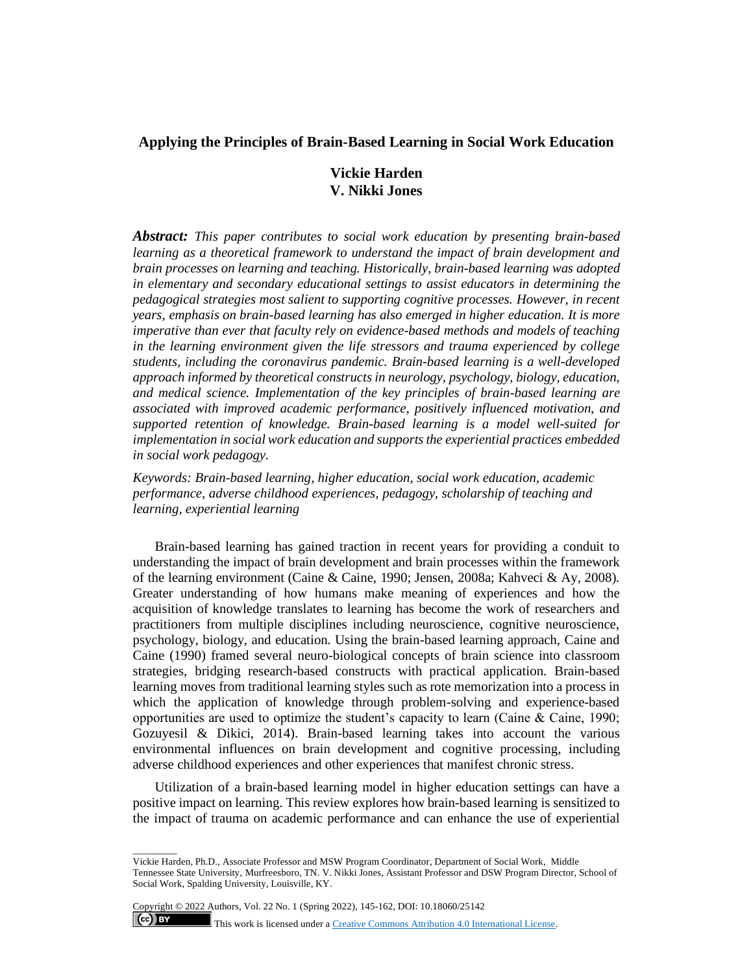# **Applying the Principles of Brain-Based Learning in Social Work Education**

# **Vickie Harden V. Nikki Jones**

*Abstract: This paper contributes to social work education by presenting brain-based learning as a theoretical framework to understand the impact of brain development and brain processes on learning and teaching. Historically, brain-based learning was adopted in elementary and secondary educational settings to assist educators in determining the pedagogical strategies most salient to supporting cognitive processes. However, in recent years, emphasis on brain-based learning has also emerged in higher education. It is more imperative than ever that faculty rely on evidence-based methods and models of teaching in the learning environment given the life stressors and trauma experienced by college students, including the coronavirus pandemic. Brain-based learning is a well-developed approach informed by theoretical constructs in neurology, psychology, biology, education, and medical science. Implementation of the key principles of brain-based learning are associated with improved academic performance, positively influenced motivation, and supported retention of knowledge. Brain-based learning is a model well-suited for implementation in social work education and supports the experiential practices embedded in social work pedagogy.*

*Keywords: Brain-based learning, higher education, social work education, academic performance, adverse childhood experiences, pedagogy, scholarship of teaching and learning, experiential learning*

Brain-based learning has gained traction in recent years for providing a conduit to understanding the impact of brain development and brain processes within the framework of the learning environment (Caine & Caine, 1990; Jensen, 2008a; Kahveci & Ay, 2008). Greater understanding of how humans make meaning of experiences and how the acquisition of knowledge translates to learning has become the work of researchers and practitioners from multiple disciplines including neuroscience, cognitive neuroscience, psychology, biology, and education. Using the brain-based learning approach, Caine and Caine (1990) framed several neuro-biological concepts of brain science into classroom strategies, bridging research-based constructs with practical application. Brain-based learning moves from traditional learning styles such as rote memorization into a process in which the application of knowledge through problem-solving and experience-based opportunities are used to optimize the student's capacity to learn (Caine & Caine, 1990; Gozuyesil & Dikici, 2014). Brain-based learning takes into account the various environmental influences on brain development and cognitive processing, including adverse childhood experiences and other experiences that manifest chronic stress.

Utilization of a brain-based learning model in higher education settings can have a positive impact on learning. This review explores how brain-based learning is sensitized to the impact of trauma on academic performance and can enhance the use of experiential

Copyright © 2022 Authors, Vol. 22 No. 1 (Spring 2022), 145-162, DOI: 10.18060/25142

 $\overline{\phantom{a}}$  . The contract of  $\overline{\phantom{a}}$ 

 $(cc)$  BY

This work is licensed under a **Creative Commons Attribution 4.0 International License**.

Vickie Harden, Ph.D., Associate Professor and MSW Program Coordinator, Department of Social Work, Middle Tennessee State University, Murfreesboro, TN. V. Nikki Jones, Assistant Professor and DSW Program Director, School of Social Work, Spalding University, Louisville, KY.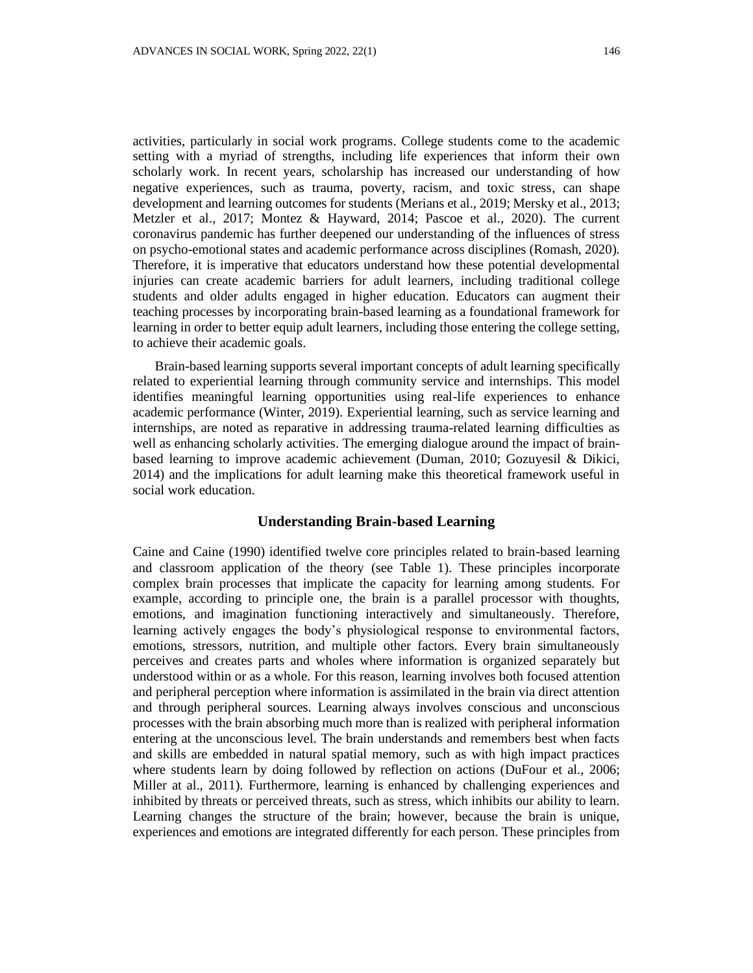activities, particularly in social work programs. College students come to the academic setting with a myriad of strengths, including life experiences that inform their own scholarly work. In recent years, scholarship has increased our understanding of how negative experiences, such as trauma, poverty, racism, and toxic stress, can shape development and learning outcomes for students (Merians et al., 2019; Mersky et al., 2013; Metzler et al., 2017; Montez & Hayward, 2014; Pascoe et al., 2020). The current coronavirus pandemic has further deepened our understanding of the influences of stress on psycho-emotional states and academic performance across disciplines (Romash, 2020). Therefore, it is imperative that educators understand how these potential developmental injuries can create academic barriers for adult learners, including traditional college students and older adults engaged in higher education. Educators can augment their teaching processes by incorporating brain-based learning as a foundational framework for learning in order to better equip adult learners, including those entering the college setting, to achieve their academic goals.

Brain-based learning supports several important concepts of adult learning specifically related to experiential learning through community service and internships. This model identifies meaningful learning opportunities using real-life experiences to enhance academic performance (Winter, 2019). Experiential learning, such as service learning and internships, are noted as reparative in addressing trauma-related learning difficulties as well as enhancing scholarly activities. The emerging dialogue around the impact of brainbased learning to improve academic achievement (Duman, 2010; Gozuyesil & Dikici, 2014) and the implications for adult learning make this theoretical framework useful in social work education.

## **Understanding Brain-based Learning**

Caine and Caine (1990) identified twelve core principles related to brain-based learning and classroom application of the theory (see Table 1). These principles incorporate complex brain processes that implicate the capacity for learning among students. For example, according to principle one, the brain is a parallel processor with thoughts, emotions, and imagination functioning interactively and simultaneously. Therefore, learning actively engages the body's physiological response to environmental factors, emotions, stressors, nutrition, and multiple other factors. Every brain simultaneously perceives and creates parts and wholes where information is organized separately but understood within or as a whole. For this reason, learning involves both focused attention and peripheral perception where information is assimilated in the brain via direct attention and through peripheral sources. Learning always involves conscious and unconscious processes with the brain absorbing much more than is realized with peripheral information entering at the unconscious level. The brain understands and remembers best when facts and skills are embedded in natural spatial memory, such as with high impact practices where students learn by doing followed by reflection on actions (DuFour et al., 2006; Miller at al., 2011). Furthermore, learning is enhanced by challenging experiences and inhibited by threats or perceived threats, such as stress, which inhibits our ability to learn. Learning changes the structure of the brain; however, because the brain is unique, experiences and emotions are integrated differently for each person. These principles from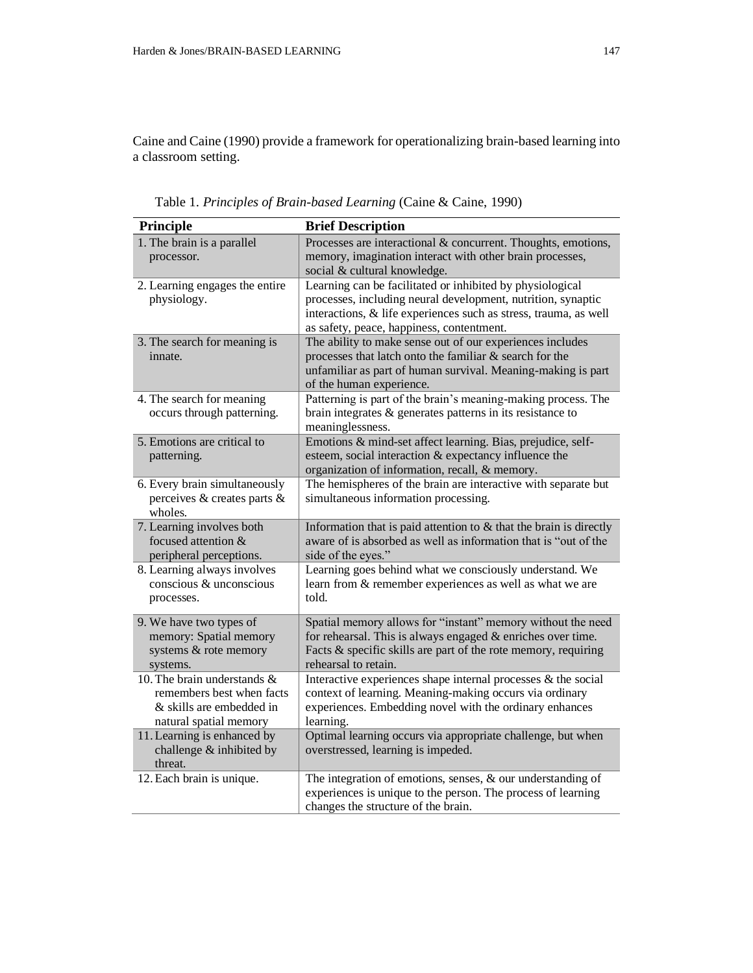Caine and Caine (1990) provide a framework for operationalizing brain-based learning into a classroom setting.

| Principle                                                                                                      | <b>Brief Description</b>                                                                                                                                                                                                                   |
|----------------------------------------------------------------------------------------------------------------|--------------------------------------------------------------------------------------------------------------------------------------------------------------------------------------------------------------------------------------------|
| 1. The brain is a parallel<br>processor.                                                                       | Processes are interactional & concurrent. Thoughts, emotions,<br>memory, imagination interact with other brain processes,<br>social & cultural knowledge.                                                                                  |
| 2. Learning engages the entire<br>physiology.                                                                  | Learning can be facilitated or inhibited by physiological<br>processes, including neural development, nutrition, synaptic<br>interactions, & life experiences such as stress, trauma, as well<br>as safety, peace, happiness, contentment. |
| 3. The search for meaning is<br>innate.                                                                        | The ability to make sense out of our experiences includes<br>processes that latch onto the familiar & search for the<br>unfamiliar as part of human survival. Meaning-making is part<br>of the human experience.                           |
| 4. The search for meaning<br>occurs through patterning.                                                        | Patterning is part of the brain's meaning-making process. The<br>brain integrates $\&$ generates patterns in its resistance to<br>meaninglessness.                                                                                         |
| 5. Emotions are critical to<br>patterning.                                                                     | Emotions & mind-set affect learning. Bias, prejudice, self-<br>esteem, social interaction & expectancy influence the<br>organization of information, recall, & memory.                                                                     |
| 6. Every brain simultaneously<br>perceives & creates parts &<br>wholes.                                        | The hemispheres of the brain are interactive with separate but<br>simultaneous information processing.                                                                                                                                     |
| 7. Learning involves both<br>focused attention &<br>peripheral perceptions.                                    | Information that is paid attention to $&$ that the brain is directly<br>aware of is absorbed as well as information that is "out of the<br>side of the eyes."                                                                              |
| 8. Learning always involves<br>conscious & unconscious<br>processes.                                           | Learning goes behind what we consciously understand. We<br>learn from & remember experiences as well as what we are<br>told.                                                                                                               |
| 9. We have two types of<br>memory: Spatial memory<br>systems & rote memory<br>systems.                         | Spatial memory allows for "instant" memory without the need<br>for rehearsal. This is always engaged $&$ enriches over time.<br>Facts $\&$ specific skills are part of the rote memory, requiring<br>rehearsal to retain.                  |
| 10. The brain understands &<br>remembers best when facts<br>& skills are embedded in<br>natural spatial memory | Interactive experiences shape internal processes $\&$ the social<br>context of learning. Meaning-making occurs via ordinary<br>experiences. Embedding novel with the ordinary enhances<br>learning.                                        |
| 11. Learning is enhanced by<br>challenge & inhibited by<br>threat.                                             | Optimal learning occurs via appropriate challenge, but when<br>overstressed, learning is impeded.                                                                                                                                          |
| 12. Each brain is unique.                                                                                      | The integration of emotions, senses, $\&$ our understanding of<br>experiences is unique to the person. The process of learning<br>changes the structure of the brain.                                                                      |

Table 1. *Principles of Brain-based Learning* (Caine & Caine, 1990)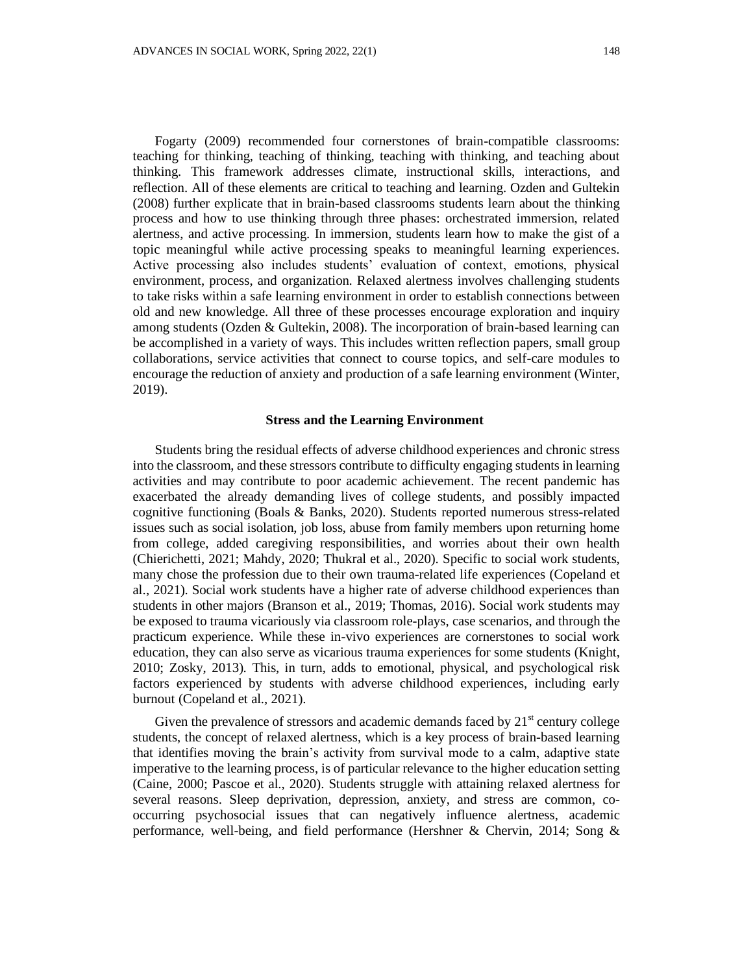Fogarty (2009) recommended four cornerstones of brain-compatible classrooms: teaching for thinking, teaching of thinking, teaching with thinking, and teaching about thinking. This framework addresses climate, instructional skills, interactions, and reflection. All of these elements are critical to teaching and learning. Ozden and Gultekin (2008) further explicate that in brain-based classrooms students learn about the thinking process and how to use thinking through three phases: orchestrated immersion, related alertness, and active processing. In immersion, students learn how to make the gist of a topic meaningful while active processing speaks to meaningful learning experiences. Active processing also includes students' evaluation of context, emotions, physical environment, process, and organization. Relaxed alertness involves challenging students to take risks within a safe learning environment in order to establish connections between old and new knowledge. All three of these processes encourage exploration and inquiry among students (Ozden & Gultekin, 2008). The incorporation of brain-based learning can be accomplished in a variety of ways. This includes written reflection papers, small group collaborations, service activities that connect to course topics, and self-care modules to encourage the reduction of anxiety and production of a safe learning environment (Winter, 2019).

#### **Stress and the Learning Environment**

Students bring the residual effects of adverse childhood experiences and chronic stress into the classroom, and these stressors contribute to difficulty engaging students in learning activities and may contribute to poor academic achievement. The recent pandemic has exacerbated the already demanding lives of college students, and possibly impacted cognitive functioning (Boals & Banks, 2020). Students reported numerous stress-related issues such as social isolation, job loss, abuse from family members upon returning home from college, added caregiving responsibilities, and worries about their own health (Chierichetti, 2021; Mahdy, 2020; Thukral et al., 2020). Specific to social work students, many chose the profession due to their own trauma-related life experiences (Copeland et al., 2021). Social work students have a higher rate of adverse childhood experiences than students in other majors (Branson et al., 2019; Thomas, 2016). Social work students may be exposed to trauma vicariously via classroom role-plays, case scenarios, and through the practicum experience. While these in-vivo experiences are cornerstones to social work education, they can also serve as vicarious trauma experiences for some students (Knight, 2010; Zosky, 2013). This, in turn, adds to emotional, physical, and psychological risk factors experienced by students with adverse childhood experiences, including early burnout (Copeland et al., 2021).

Given the prevalence of stressors and academic demands faced by  $21<sup>st</sup>$  century college students, the concept of relaxed alertness, which is a key process of brain-based learning that identifies moving the brain's activity from survival mode to a calm, adaptive state imperative to the learning process, is of particular relevance to the higher education setting (Caine, 2000; Pascoe et al., 2020). Students struggle with attaining relaxed alertness for several reasons. Sleep deprivation, depression, anxiety, and stress are common, cooccurring psychosocial issues that can negatively influence alertness, academic performance, well-being, and field performance (Hershner & Chervin, 2014; Song &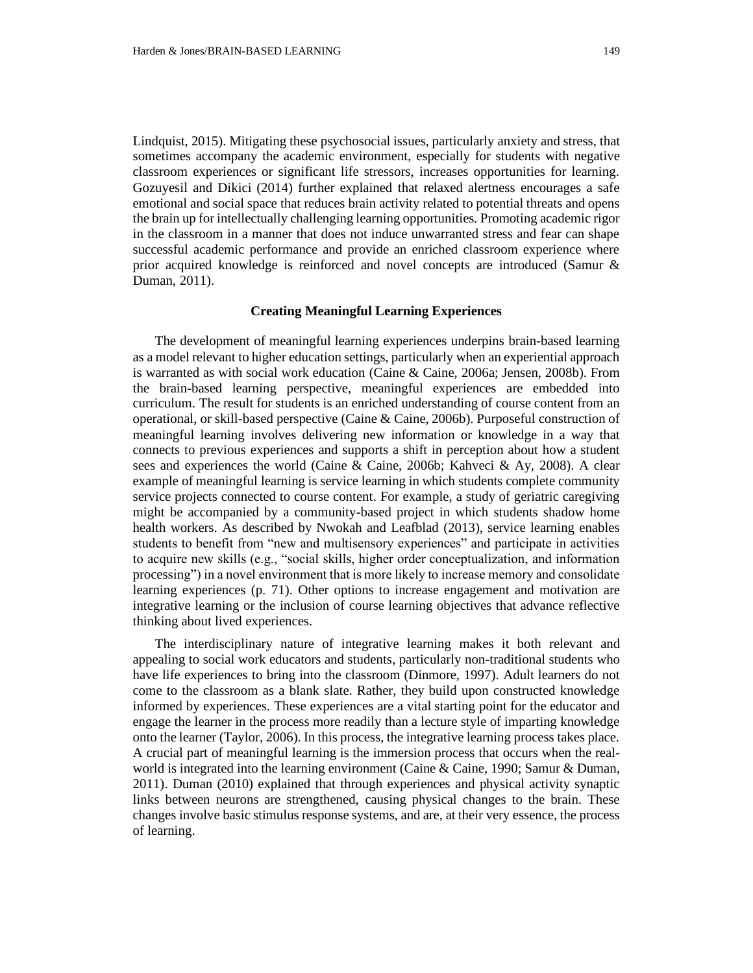Lindquist, 2015). Mitigating these psychosocial issues, particularly anxiety and stress, that sometimes accompany the academic environment, especially for students with negative classroom experiences or significant life stressors, increases opportunities for learning. Gozuyesil and Dikici (2014) further explained that relaxed alertness encourages a safe emotional and social space that reduces brain activity related to potential threats and opens the brain up for intellectually challenging learning opportunities. Promoting academic rigor in the classroom in a manner that does not induce unwarranted stress and fear can shape successful academic performance and provide an enriched classroom experience where prior acquired knowledge is reinforced and novel concepts are introduced (Samur & Duman, 2011).

#### **Creating Meaningful Learning Experiences**

The development of meaningful learning experiences underpins brain-based learning as a model relevant to higher education settings, particularly when an experiential approach is warranted as with social work education (Caine & Caine, 2006a; Jensen, 2008b). From the brain-based learning perspective, meaningful experiences are embedded into curriculum. The result for students is an enriched understanding of course content from an operational, or skill-based perspective (Caine & Caine, 2006b). Purposeful construction of meaningful learning involves delivering new information or knowledge in a way that connects to previous experiences and supports a shift in perception about how a student sees and experiences the world (Caine & Caine, 2006b; Kahveci & Ay, 2008). A clear example of meaningful learning is service learning in which students complete community service projects connected to course content. For example, a study of geriatric caregiving might be accompanied by a community-based project in which students shadow home health workers. As described by Nwokah and Leafblad (2013), service learning enables students to benefit from "new and multisensory experiences" and participate in activities to acquire new skills (e.g., "social skills, higher order conceptualization, and information processing") in a novel environment that is more likely to increase memory and consolidate learning experiences (p. 71). Other options to increase engagement and motivation are integrative learning or the inclusion of course learning objectives that advance reflective thinking about lived experiences.

The interdisciplinary nature of integrative learning makes it both relevant and appealing to social work educators and students, particularly non-traditional students who have life experiences to bring into the classroom (Dinmore, 1997). Adult learners do not come to the classroom as a blank slate. Rather, they build upon constructed knowledge informed by experiences. These experiences are a vital starting point for the educator and engage the learner in the process more readily than a lecture style of imparting knowledge onto the learner (Taylor, 2006). In this process, the integrative learning process takes place. A crucial part of meaningful learning is the immersion process that occurs when the realworld is integrated into the learning environment (Caine & Caine, 1990; Samur & Duman, 2011). Duman (2010) explained that through experiences and physical activity synaptic links between neurons are strengthened, causing physical changes to the brain. These changes involve basic stimulus response systems, and are, at their very essence, the process of learning.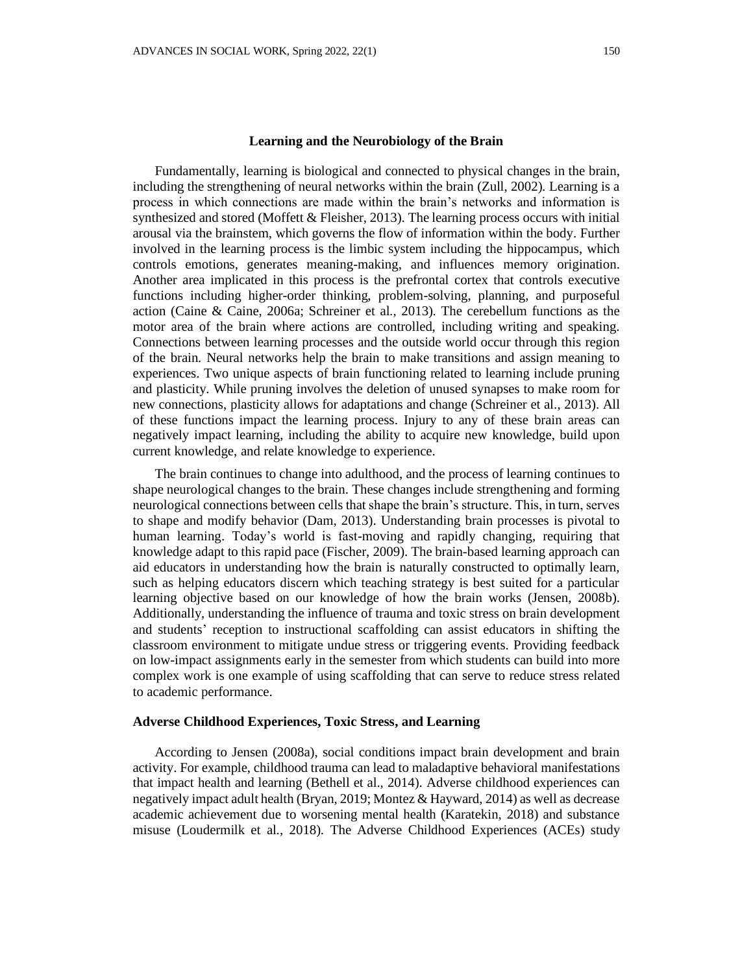#### **Learning and the Neurobiology of the Brain**

Fundamentally, learning is biological and connected to physical changes in the brain, including the strengthening of neural networks within the brain (Zull, 2002). Learning is a process in which connections are made within the brain's networks and information is synthesized and stored (Moffett & Fleisher, 2013). The learning process occurs with initial arousal via the brainstem, which governs the flow of information within the body. Further involved in the learning process is the limbic system including the hippocampus, which controls emotions, generates meaning-making, and influences memory origination. Another area implicated in this process is the prefrontal cortex that controls executive functions including higher-order thinking, problem-solving, planning, and purposeful action (Caine & Caine, 2006a; Schreiner et al., 2013). The cerebellum functions as the motor area of the brain where actions are controlled, including writing and speaking. Connections between learning processes and the outside world occur through this region of the brain. Neural networks help the brain to make transitions and assign meaning to experiences. Two unique aspects of brain functioning related to learning include pruning and plasticity. While pruning involves the deletion of unused synapses to make room for new connections, plasticity allows for adaptations and change (Schreiner et al., 2013). All of these functions impact the learning process. Injury to any of these brain areas can negatively impact learning, including the ability to acquire new knowledge, build upon current knowledge, and relate knowledge to experience.

The brain continues to change into adulthood, and the process of learning continues to shape neurological changes to the brain. These changes include strengthening and forming neurological connections between cells that shape the brain's structure. This, in turn, serves to shape and modify behavior (Dam, 2013). Understanding brain processes is pivotal to human learning. Today's world is fast-moving and rapidly changing, requiring that knowledge adapt to this rapid pace (Fischer, 2009). The brain-based learning approach can aid educators in understanding how the brain is naturally constructed to optimally learn, such as helping educators discern which teaching strategy is best suited for a particular learning objective based on our knowledge of how the brain works (Jensen, 2008b). Additionally, understanding the influence of trauma and toxic stress on brain development and students' reception to instructional scaffolding can assist educators in shifting the classroom environment to mitigate undue stress or triggering events. Providing feedback on low-impact assignments early in the semester from which students can build into more complex work is one example of using scaffolding that can serve to reduce stress related to academic performance.

#### **Adverse Childhood Experiences, Toxic Stress, and Learning**

According to Jensen (2008a), social conditions impact brain development and brain activity. For example, childhood trauma can lead to maladaptive behavioral manifestations that impact health and learning (Bethell et al., 2014). Adverse childhood experiences can negatively impact adult health (Bryan, 2019; Montez & Hayward, 2014) as well as decrease academic achievement due to worsening mental health (Karatekin, 2018) and substance misuse (Loudermilk et al., 2018). The Adverse Childhood Experiences (ACEs) study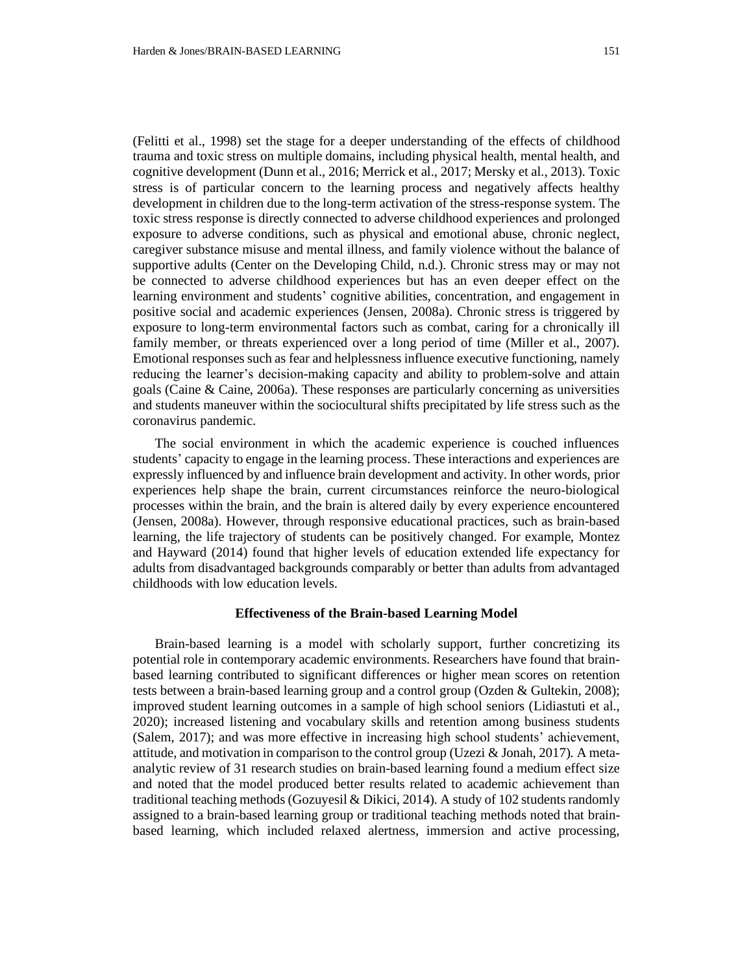(Felitti et al., 1998) set the stage for a deeper understanding of the effects of childhood trauma and toxic stress on multiple domains, including physical health, mental health, and cognitive development (Dunn et al., 2016; Merrick et al., 2017; Mersky et al., 2013). Toxic stress is of particular concern to the learning process and negatively affects healthy development in children due to the long-term activation of the stress-response system. The toxic stress response is directly connected to adverse childhood experiences and prolonged exposure to adverse conditions, such as physical and emotional abuse, chronic neglect, caregiver substance misuse and mental illness, and family violence without the balance of supportive adults (Center on the Developing Child, n.d.). Chronic stress may or may not be connected to adverse childhood experiences but has an even deeper effect on the learning environment and students' cognitive abilities, concentration, and engagement in positive social and academic experiences (Jensen, 2008a). Chronic stress is triggered by exposure to long-term environmental factors such as combat, caring for a chronically ill family member, or threats experienced over a long period of time (Miller et al., 2007). Emotional responses such as fear and helplessness influence executive functioning, namely reducing the learner's decision-making capacity and ability to problem-solve and attain goals (Caine & Caine, 2006a). These responses are particularly concerning as universities and students maneuver within the sociocultural shifts precipitated by life stress such as the coronavirus pandemic.

The social environment in which the academic experience is couched influences students' capacity to engage in the learning process. These interactions and experiences are expressly influenced by and influence brain development and activity. In other words, prior experiences help shape the brain, current circumstances reinforce the neuro-biological processes within the brain, and the brain is altered daily by every experience encountered (Jensen, 2008a). However, through responsive educational practices, such as brain-based learning, the life trajectory of students can be positively changed. For example, Montez and Hayward (2014) found that higher levels of education extended life expectancy for adults from disadvantaged backgrounds comparably or better than adults from advantaged childhoods with low education levels.

# **Effectiveness of the Brain-based Learning Model**

Brain-based learning is a model with scholarly support, further concretizing its potential role in contemporary academic environments. Researchers have found that brainbased learning contributed to significant differences or higher mean scores on retention tests between a brain-based learning group and a control group (Ozden & Gultekin, 2008); improved student learning outcomes in a sample of high school seniors (Lidiastuti et al., 2020); increased listening and vocabulary skills and retention among business students (Salem, 2017); and was more effective in increasing high school students' achievement, attitude, and motivation in comparison to the control group (Uzezi & Jonah, 2017). A metaanalytic review of 31 research studies on brain-based learning found a medium effect size and noted that the model produced better results related to academic achievement than traditional teaching methods (Gozuyesil & Dikici, 2014). A study of 102 students randomly assigned to a brain-based learning group or traditional teaching methods noted that brainbased learning, which included relaxed alertness, immersion and active processing,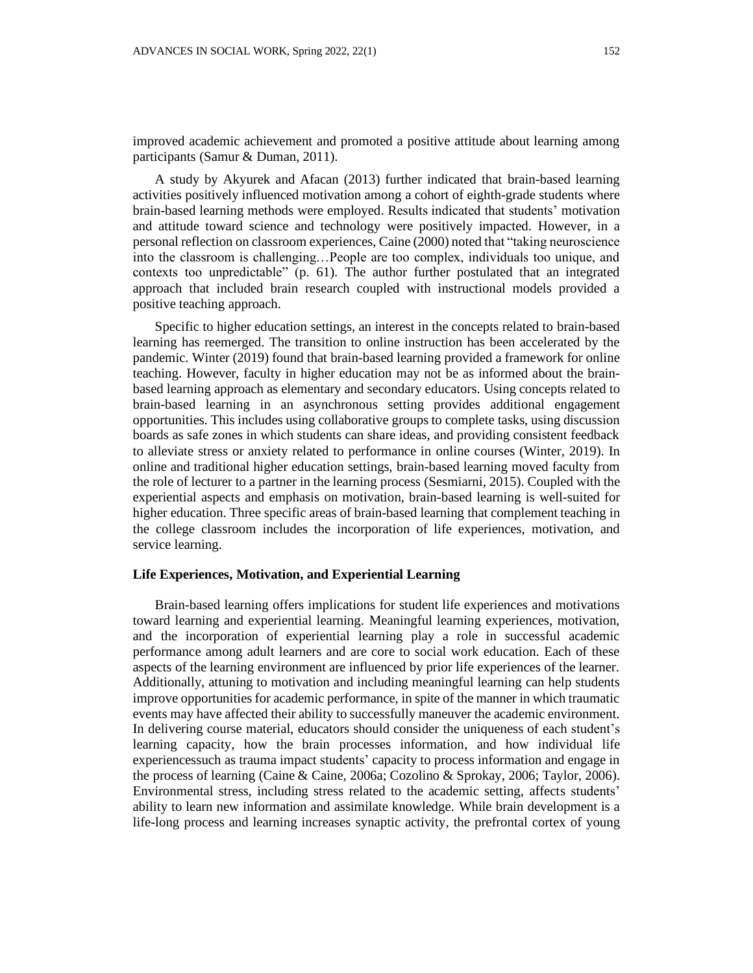improved academic achievement and promoted a positive attitude about learning among participants (Samur & Duman, 2011).

A study by Akyurek and Afacan (2013) further indicated that brain-based learning activities positively influenced motivation among a cohort of eighth-grade students where brain-based learning methods were employed. Results indicated that students' motivation and attitude toward science and technology were positively impacted. However, in a personal reflection on classroom experiences, Caine (2000) noted that "taking neuroscience into the classroom is challenging…People are too complex, individuals too unique, and contexts too unpredictable" (p. 61). The author further postulated that an integrated approach that included brain research coupled with instructional models provided a positive teaching approach.

Specific to higher education settings, an interest in the concepts related to brain-based learning has reemerged. The transition to online instruction has been accelerated by the pandemic. Winter (2019) found that brain-based learning provided a framework for online teaching. However, faculty in higher education may not be as informed about the brainbased learning approach as elementary and secondary educators. Using concepts related to brain-based learning in an asynchronous setting provides additional engagement opportunities. This includes using collaborative groups to complete tasks, using discussion boards as safe zones in which students can share ideas, and providing consistent feedback to alleviate stress or anxiety related to performance in online courses (Winter, 2019). In online and traditional higher education settings, brain-based learning moved faculty from the role of lecturer to a partner in the learning process (Sesmiarni, 2015). Coupled with the experiential aspects and emphasis on motivation, brain-based learning is well-suited for higher education. Three specific areas of brain-based learning that complement teaching in the college classroom includes the incorporation of life experiences, motivation, and service learning.

### **Life Experiences, Motivation, and Experiential Learning**

Brain-based learning offers implications for student life experiences and motivations toward learning and experiential learning. Meaningful learning experiences, motivation, and the incorporation of experiential learning play a role in successful academic performance among adult learners and are core to social work education. Each of these aspects of the learning environment are influenced by prior life experiences of the learner. Additionally, attuning to motivation and including meaningful learning can help students improve opportunities for academic performance, in spite of the manner in which traumatic events may have affected their ability to successfully maneuver the academic environment. In delivering course material, educators should consider the uniqueness of each student's learning capacity, how the brain processes information, and how individual life experiencessuch as trauma impact students' capacity to process information and engage in the process of learning (Caine & Caine, 2006a; Cozolino & Sprokay, 2006; Taylor, 2006). Environmental stress, including stress related to the academic setting, affects students' ability to learn new information and assimilate knowledge. While brain development is a life-long process and learning increases synaptic activity, the prefrontal cortex of young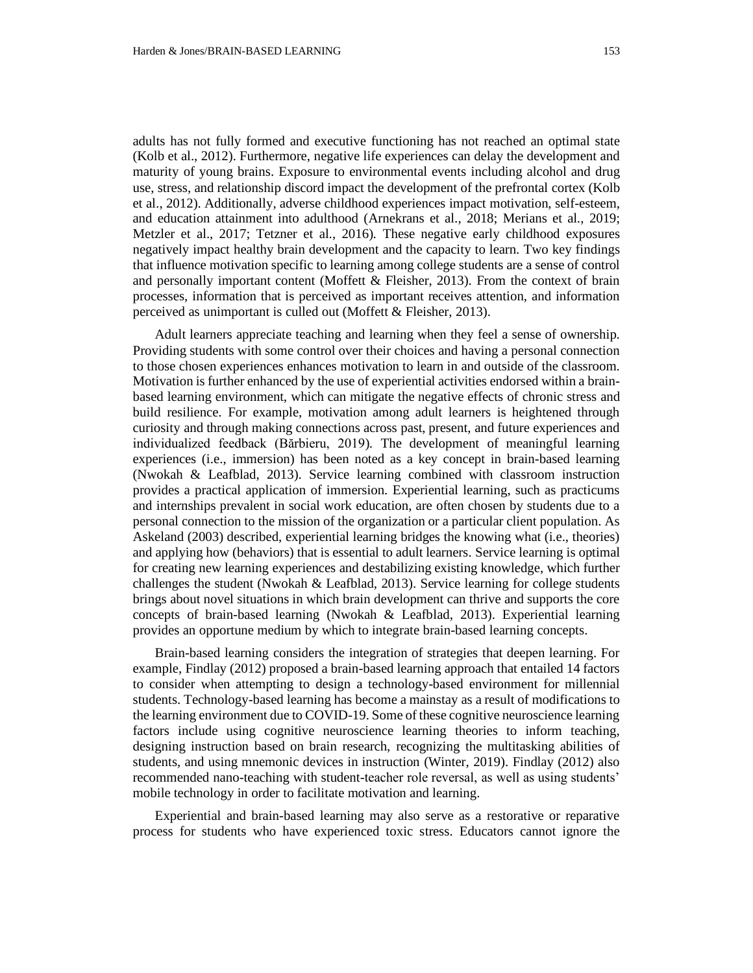adults has not fully formed and executive functioning has not reached an optimal state (Kolb et al., 2012). Furthermore, negative life experiences can delay the development and maturity of young brains. Exposure to environmental events including alcohol and drug use, stress, and relationship discord impact the development of the prefrontal cortex (Kolb et al., 2012). Additionally, adverse childhood experiences impact motivation, self-esteem, and education attainment into adulthood (Arnekrans et al., 2018; Merians et al., 2019; Metzler et al., 2017; Tetzner et al., 2016). These negative early childhood exposures negatively impact healthy brain development and the capacity to learn. Two key findings that influence motivation specific to learning among college students are a sense of control and personally important content (Moffett & Fleisher, 2013). From the context of brain processes, information that is perceived as important receives attention, and information perceived as unimportant is culled out (Moffett & Fleisher, 2013).

Adult learners appreciate teaching and learning when they feel a sense of ownership. Providing students with some control over their choices and having a personal connection to those chosen experiences enhances motivation to learn in and outside of the classroom. Motivation is further enhanced by the use of experiential activities endorsed within a brainbased learning environment, which can mitigate the negative effects of chronic stress and build resilience. For example, motivation among adult learners is heightened through curiosity and through making connections across past, present, and future experiences and individualized feedback (Bărbieru, 2019). The development of meaningful learning experiences (i.e., immersion) has been noted as a key concept in brain-based learning (Nwokah & Leafblad, 2013). Service learning combined with classroom instruction provides a practical application of immersion. Experiential learning, such as practicums and internships prevalent in social work education, are often chosen by students due to a personal connection to the mission of the organization or a particular client population. As Askeland (2003) described, experiential learning bridges the knowing what (i.e., theories) and applying how (behaviors) that is essential to adult learners. Service learning is optimal for creating new learning experiences and destabilizing existing knowledge, which further challenges the student (Nwokah & Leafblad, 2013). Service learning for college students brings about novel situations in which brain development can thrive and supports the core concepts of brain-based learning (Nwokah & Leafblad, 2013). Experiential learning provides an opportune medium by which to integrate brain-based learning concepts.

Brain-based learning considers the integration of strategies that deepen learning. For example, Findlay (2012) proposed a brain-based learning approach that entailed 14 factors to consider when attempting to design a technology-based environment for millennial students. Technology-based learning has become a mainstay as a result of modifications to the learning environment due to COVID-19. Some of these cognitive neuroscience learning factors include using cognitive neuroscience learning theories to inform teaching, designing instruction based on brain research, recognizing the multitasking abilities of students, and using mnemonic devices in instruction (Winter, 2019). Findlay (2012) also recommended nano-teaching with student-teacher role reversal, as well as using students' mobile technology in order to facilitate motivation and learning.

Experiential and brain-based learning may also serve as a restorative or reparative process for students who have experienced toxic stress. Educators cannot ignore the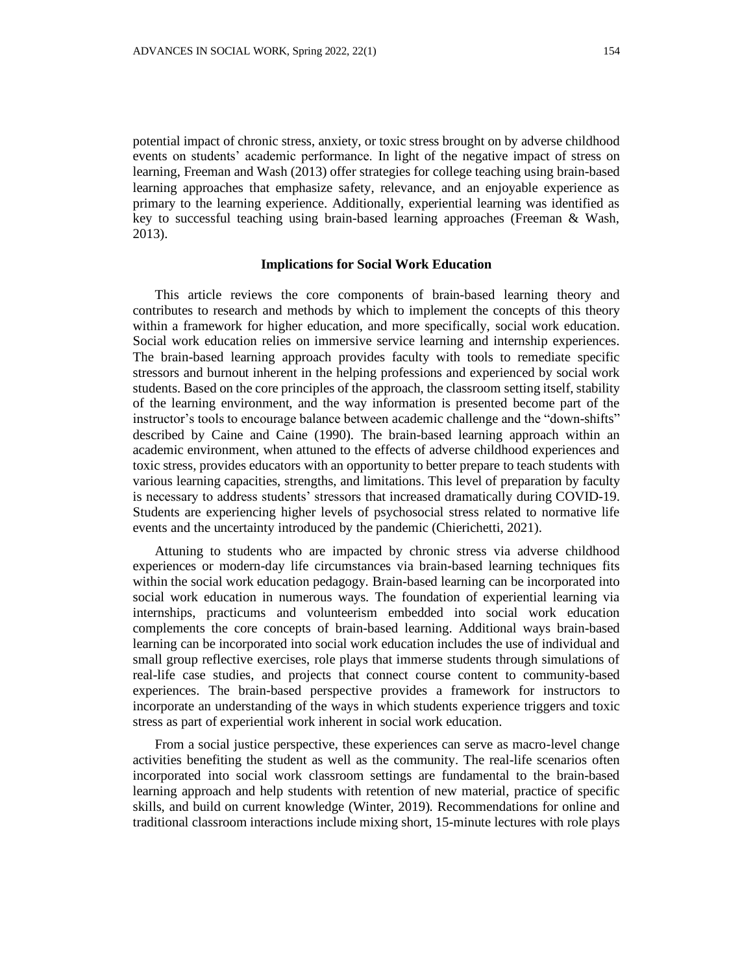potential impact of chronic stress, anxiety, or toxic stress brought on by adverse childhood events on students' academic performance. In light of the negative impact of stress on learning, Freeman and Wash (2013) offer strategies for college teaching using brain-based learning approaches that emphasize safety, relevance, and an enjoyable experience as primary to the learning experience. Additionally, experiential learning was identified as key to successful teaching using brain-based learning approaches (Freeman & Wash, 2013).

#### **Implications for Social Work Education**

This article reviews the core components of brain-based learning theory and contributes to research and methods by which to implement the concepts of this theory within a framework for higher education, and more specifically, social work education. Social work education relies on immersive service learning and internship experiences. The brain-based learning approach provides faculty with tools to remediate specific stressors and burnout inherent in the helping professions and experienced by social work students. Based on the core principles of the approach, the classroom setting itself, stability of the learning environment, and the way information is presented become part of the instructor's tools to encourage balance between academic challenge and the "down-shifts" described by Caine and Caine (1990). The brain-based learning approach within an academic environment, when attuned to the effects of adverse childhood experiences and toxic stress, provides educators with an opportunity to better prepare to teach students with various learning capacities, strengths, and limitations. This level of preparation by faculty is necessary to address students' stressors that increased dramatically during COVID-19. Students are experiencing higher levels of psychosocial stress related to normative life events and the uncertainty introduced by the pandemic (Chierichetti, 2021).

Attuning to students who are impacted by chronic stress via adverse childhood experiences or modern-day life circumstances via brain-based learning techniques fits within the social work education pedagogy. Brain-based learning can be incorporated into social work education in numerous ways. The foundation of experiential learning via internships, practicums and volunteerism embedded into social work education complements the core concepts of brain-based learning. Additional ways brain-based learning can be incorporated into social work education includes the use of individual and small group reflective exercises, role plays that immerse students through simulations of real-life case studies, and projects that connect course content to community-based experiences. The brain-based perspective provides a framework for instructors to incorporate an understanding of the ways in which students experience triggers and toxic stress as part of experiential work inherent in social work education.

From a social justice perspective, these experiences can serve as macro-level change activities benefiting the student as well as the community. The real-life scenarios often incorporated into social work classroom settings are fundamental to the brain-based learning approach and help students with retention of new material, practice of specific skills, and build on current knowledge (Winter, 2019). Recommendations for online and traditional classroom interactions include mixing short, 15-minute lectures with role plays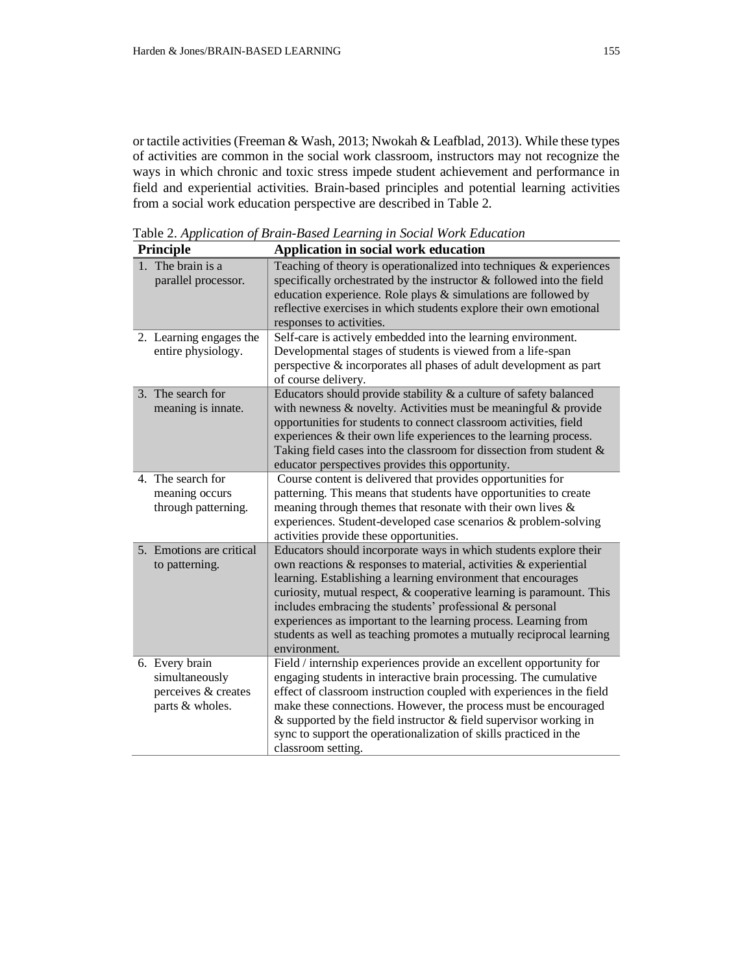or tactile activities (Freeman & Wash, 2013; Nwokah & Leafblad, 2013). While these types of activities are common in the social work classroom, instructors may not recognize the ways in which chronic and toxic stress impede student achievement and performance in field and experiential activities. Brain-based principles and potential learning activities from a social work education perspective are described in Table 2.

| Principle                                                                  | Application in social work education                                                                                                                                                                                                                                                                                                                                                                                                                                                                  |
|----------------------------------------------------------------------------|-------------------------------------------------------------------------------------------------------------------------------------------------------------------------------------------------------------------------------------------------------------------------------------------------------------------------------------------------------------------------------------------------------------------------------------------------------------------------------------------------------|
| 1. The brain is a<br>parallel processor.                                   | Teaching of theory is operationalized into techniques $\&$ experiences<br>specifically orchestrated by the instructor & followed into the field<br>education experience. Role plays & simulations are followed by<br>reflective exercises in which students explore their own emotional<br>responses to activities.                                                                                                                                                                                   |
| 2. Learning engages the<br>entire physiology.                              | Self-care is actively embedded into the learning environment.<br>Developmental stages of students is viewed from a life-span<br>perspective & incorporates all phases of adult development as part<br>of course delivery.                                                                                                                                                                                                                                                                             |
| 3. The search for<br>meaning is innate.                                    | Educators should provide stability $\&$ a culture of safety balanced<br>with newness $\&$ novelty. Activities must be meaningful $\&$ provide<br>opportunities for students to connect classroom activities, field<br>experiences $\&$ their own life experiences to the learning process.<br>Taking field cases into the classroom for dissection from student $\&$<br>educator perspectives provides this opportunity.                                                                              |
| 4. The search for<br>meaning occurs<br>through patterning.                 | Course content is delivered that provides opportunities for<br>patterning. This means that students have opportunities to create<br>meaning through themes that resonate with their own lives $\&$<br>experiences. Student-developed case scenarios & problem-solving<br>activities provide these opportunities.                                                                                                                                                                                      |
| 5. Emotions are critical<br>to patterning.                                 | Educators should incorporate ways in which students explore their<br>own reactions & responses to material, activities & experiential<br>learning. Establishing a learning environment that encourages<br>curiosity, mutual respect, & cooperative learning is paramount. This<br>includes embracing the students' professional & personal<br>experiences as important to the learning process. Learning from<br>students as well as teaching promotes a mutually reciprocal learning<br>environment. |
| 6. Every brain<br>simultaneously<br>perceives & creates<br>parts & wholes. | Field / internship experiences provide an excellent opportunity for<br>engaging students in interactive brain processing. The cumulative<br>effect of classroom instruction coupled with experiences in the field<br>make these connections. However, the process must be encouraged<br>$\&$ supported by the field instructor $\&$ field supervisor working in<br>sync to support the operationalization of skills practiced in the<br>classroom setting.                                            |

Table 2. *Application of Brain-Based Learning in Social Work Education*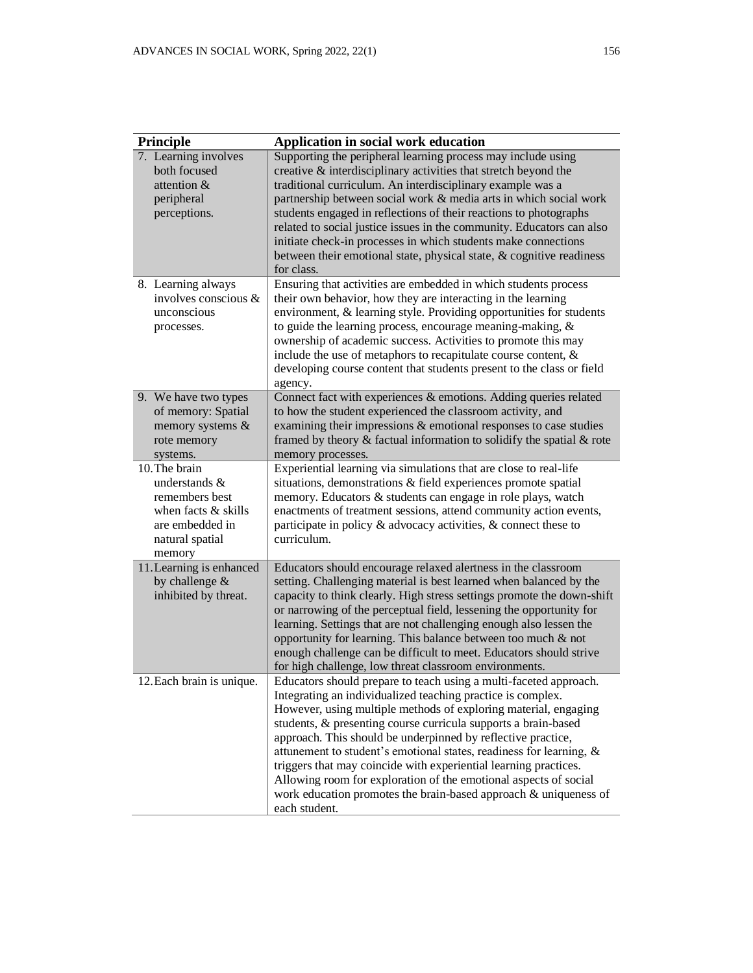| Principle                                                                                                                 | Application in social work education                                                                                                                                                                                                                                                                                                                                                                                                                                                                                                                                                                                                      |
|---------------------------------------------------------------------------------------------------------------------------|-------------------------------------------------------------------------------------------------------------------------------------------------------------------------------------------------------------------------------------------------------------------------------------------------------------------------------------------------------------------------------------------------------------------------------------------------------------------------------------------------------------------------------------------------------------------------------------------------------------------------------------------|
| 7. Learning involves<br>both focused<br>attention &<br>peripheral<br>perceptions.                                         | Supporting the peripheral learning process may include using<br>creative $\&$ interdisciplinary activities that stretch beyond the<br>traditional curriculum. An interdisciplinary example was a<br>partnership between social work & media arts in which social work<br>students engaged in reflections of their reactions to photographs<br>related to social justice issues in the community. Educators can also<br>initiate check-in processes in which students make connections<br>between their emotional state, physical state, $\&$ cognitive readiness<br>for class.                                                            |
| 8. Learning always<br>involves conscious &<br>unconscious<br>processes.                                                   | Ensuring that activities are embedded in which students process<br>their own behavior, how they are interacting in the learning<br>environment, & learning style. Providing opportunities for students<br>to guide the learning process, encourage meaning-making, $\&$<br>ownership of academic success. Activities to promote this may<br>include the use of metaphors to recapitulate course content, $\&$<br>developing course content that students present to the class or field<br>agency.                                                                                                                                         |
| 9. We have two types<br>of memory: Spatial<br>memory systems &<br>rote memory<br>systems.                                 | Connect fact with experiences & emotions. Adding queries related<br>to how the student experienced the classroom activity, and<br>examining their impressions & emotional responses to case studies<br>framed by theory & factual information to solidify the spatial & rote<br>memory processes.                                                                                                                                                                                                                                                                                                                                         |
| 10. The brain<br>understands &<br>remembers best<br>when facts $&$ skills<br>are embedded in<br>natural spatial<br>memory | Experiential learning via simulations that are close to real-life<br>situations, demonstrations & field experiences promote spatial<br>memory. Educators & students can engage in role plays, watch<br>enactments of treatment sessions, attend community action events,<br>participate in policy & advocacy activities, & connect these to<br>curriculum.                                                                                                                                                                                                                                                                                |
| 11. Learning is enhanced<br>by challenge &<br>inhibited by threat.                                                        | Educators should encourage relaxed alertness in the classroom<br>setting. Challenging material is best learned when balanced by the<br>capacity to think clearly. High stress settings promote the down-shift<br>or narrowing of the perceptual field, lessening the opportunity for<br>learning. Settings that are not challenging enough also lessen the<br>opportunity for learning. This balance between too much & not<br>enough challenge can be difficult to meet. Educators should strive<br>for high challenge, low threat classroom environments.                                                                               |
| 12. Each brain is unique.                                                                                                 | Educators should prepare to teach using a multi-faceted approach.<br>Integrating an individualized teaching practice is complex.<br>However, using multiple methods of exploring material, engaging<br>students, & presenting course curricula supports a brain-based<br>approach. This should be underpinned by reflective practice,<br>attunement to student's emotional states, readiness for learning, &<br>triggers that may coincide with experiential learning practices.<br>Allowing room for exploration of the emotional aspects of social<br>work education promotes the brain-based approach & uniqueness of<br>each student. |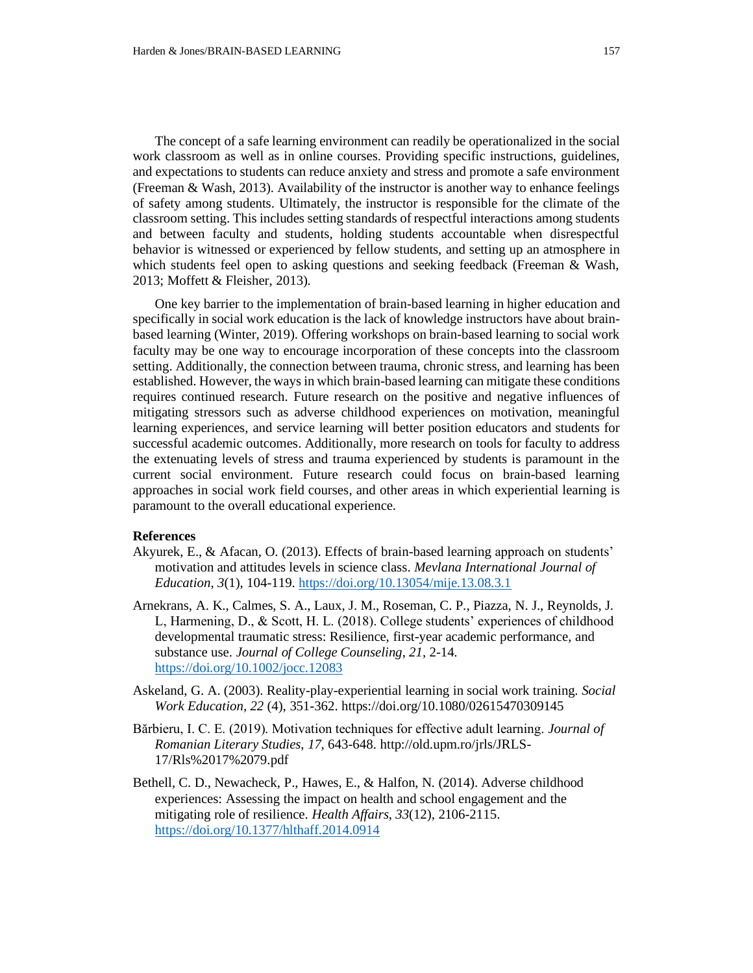The concept of a safe learning environment can readily be operationalized in the social work classroom as well as in online courses. Providing specific instructions, guidelines, and expectations to students can reduce anxiety and stress and promote a safe environment (Freeman & Wash, 2013). Availability of the instructor is another way to enhance feelings of safety among students. Ultimately, the instructor is responsible for the climate of the classroom setting. This includes setting standards of respectful interactions among students and between faculty and students, holding students accountable when disrespectful behavior is witnessed or experienced by fellow students, and setting up an atmosphere in which students feel open to asking questions and seeking feedback (Freeman & Wash, 2013; Moffett & Fleisher, 2013).

One key barrier to the implementation of brain-based learning in higher education and specifically in social work education is the lack of knowledge instructors have about brainbased learning (Winter, 2019). Offering workshops on brain-based learning to social work faculty may be one way to encourage incorporation of these concepts into the classroom setting. Additionally, the connection between trauma, chronic stress, and learning has been established. However, the ways in which brain-based learning can mitigate these conditions requires continued research. Future research on the positive and negative influences of mitigating stressors such as adverse childhood experiences on motivation, meaningful learning experiences, and service learning will better position educators and students for successful academic outcomes. Additionally, more research on tools for faculty to address the extenuating levels of stress and trauma experienced by students is paramount in the current social environment. Future research could focus on brain-based learning approaches in social work field courses, and other areas in which experiential learning is paramount to the overall educational experience.

## **References**

- Akyurek, E., & Afacan, O. (2013). Effects of brain-based learning approach on students' motivation and attitudes levels in science class. *Mevlana International Journal of Education*, *3*(1), 104-119[. https://doi.org/10.13054/mije.13.08.3.1](https://doi.org/10.13054/mije.13.08.3.1)
- Arnekrans, A. K., Calmes, S. A., Laux, J. M., Roseman, C. P., Piazza, N. J., Reynolds, J. L, Harmening, D., & Scott, H. L. (2018). College students' experiences of childhood developmental traumatic stress: Resilience, first-year academic performance, and substance use. *Journal of College Counseling*, *21*, 2-14. <https://doi.org/10.1002/jocc.12083>
- Askeland, G. A. (2003). Reality-play-experiential learning in social work training. *Social Work Education, 22* (4), 351-362. https://doi.org/10.1080/02615470309145
- Bărbieru, I. C. E. (2019). Motivation techniques for effective adult learning. *Journal of Romanian Literary Studies*, *17*, 643-648. http://old.upm.ro/jrls/JRLS-17/Rls%2017%2079.pdf
- Bethell, C. D., Newacheck, P., Hawes, E., & Halfon, N. (2014). Adverse childhood experiences: Assessing the impact on health and school engagement and the mitigating role of resilience. *Health Affairs*, *33*(12), 2106-2115. <https://doi.org/10.1377/hlthaff.2014.0914>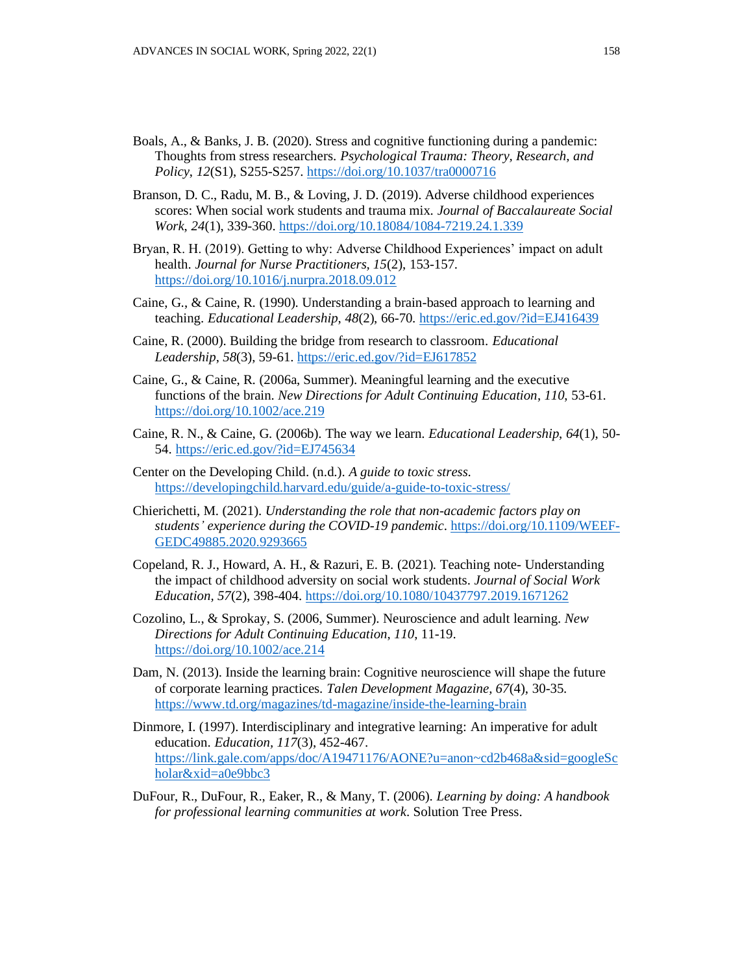- Boals, A., & Banks, J. B. (2020). Stress and cognitive functioning during a pandemic: Thoughts from stress researchers. *Psychological Trauma: Theory, Research, and Policy*, *12*(S1), S255-S257. <https://doi.org/10.1037/tra0000716>
- Branson, D. C., Radu, M. B., & Loving, J. D. (2019). Adverse childhood experiences scores: When social work students and trauma mix. *Journal of Baccalaureate Social Work*, *24*(1), 339-360.<https://doi.org/10.18084/1084-7219.24.1.339>
- Bryan, R. H. (2019). Getting to why: Adverse Childhood Experiences' impact on adult health. *Journal for Nurse Practitioners, 15*(2), 153-157. <https://doi.org/10.1016/j.nurpra.2018.09.012>
- Caine, G., & Caine, R. (1990). Understanding a brain-based approach to learning and teaching. *Educational Leadership*, *48*(2), 66-70.<https://eric.ed.gov/?id=EJ416439>
- Caine, R. (2000). Building the bridge from research to classroom. *Educational Leadership*, *58*(3), 59-61[. https://eric.ed.gov/?id=EJ617852](https://eric.ed.gov/?id=EJ617852)
- Caine, G., & Caine, R. (2006a, Summer). Meaningful learning and the executive functions of the brain. *New Directions for Adult Continuing Education*, *110*, 53-61. <https://doi.org/10.1002/ace.219>
- Caine, R. N., & Caine, G. (2006b). The way we learn. *Educational Leadership*, *64*(1), 50- 54.<https://eric.ed.gov/?id=EJ745634>
- Center on the Developing Child. (n.d.). *A guide to toxic stress*. <https://developingchild.harvard.edu/guide/a-guide-to-toxic-stress/>
- Chierichetti, M. (2021). *Understanding the role that non-academic factors play on students' experience during the COVID-19 pandemic*. [https://doi.org/10.1109/WEEF-](https://doi.org/10.1109/WEEF-GEDC49885.2020.9293665)[GEDC49885.2020.9293665](https://doi.org/10.1109/WEEF-GEDC49885.2020.9293665)
- Copeland, R. J., Howard, A. H., & Razuri, E. B. (2021). Teaching note- Understanding the impact of childhood adversity on social work students. *Journal of Social Work Education, 57*(2), 398-404.<https://doi.org/10.1080/10437797.2019.1671262>
- Cozolino, L., & Sprokay, S. (2006, Summer). Neuroscience and adult learning. *New Directions for Adult Continuing Education*, *110*, 11-19. <https://doi.org/10.1002/ace.214>
- Dam, N. (2013). Inside the learning brain: Cognitive neuroscience will shape the future of corporate learning practices. *Talen Development Magazine, 67*(4), 30-35. <https://www.td.org/magazines/td-magazine/inside-the-learning-brain>
- Dinmore, I. (1997). Interdisciplinary and integrative learning: An imperative for adult education. *Education, 117*(3), 452-467. [https://link.gale.com/apps/doc/A19471176/AONE?u=anon~cd2b468a&sid=googleSc](https://link.gale.com/apps/doc/A19471176/AONE?u=anon~cd2b468a&sid=googleScholar&xid=a0e9bbc3) [holar&xid=a0e9bbc3](https://link.gale.com/apps/doc/A19471176/AONE?u=anon~cd2b468a&sid=googleScholar&xid=a0e9bbc3)
- DuFour, R., DuFour, R., Eaker, R., & Many, T. (2006). *Learning by doing: A handbook for professional learning communities at work*. Solution Tree Press.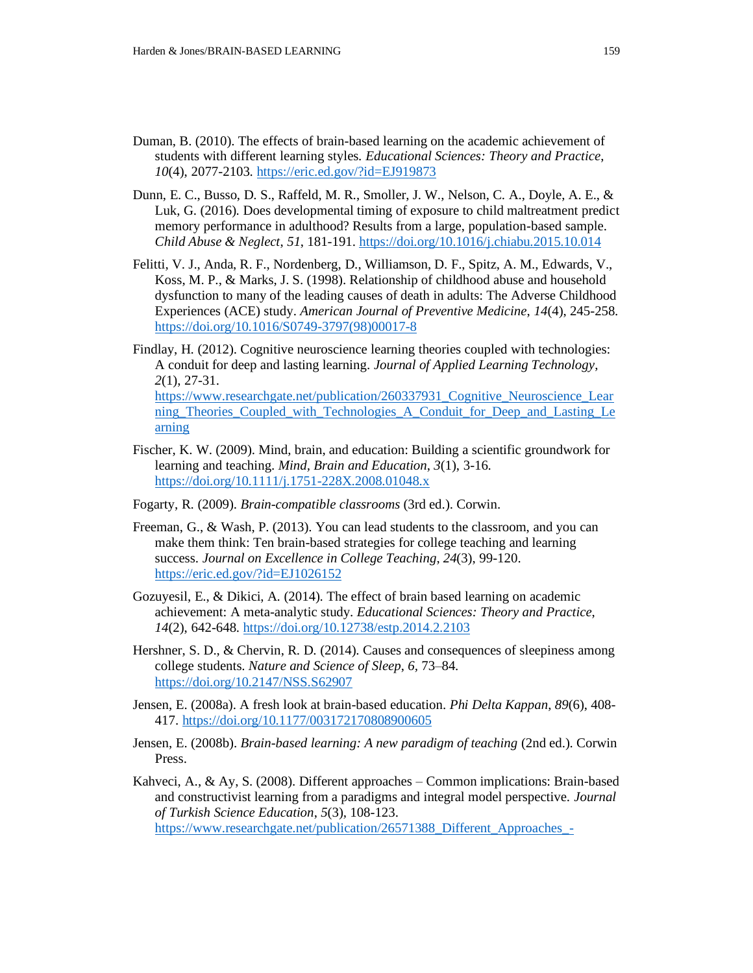- Duman, B. (2010). The effects of brain-based learning on the academic achievement of students with different learning styles. *Educational Sciences: Theory and Practice*, *10*(4), 2077-2103. [https://eric.ed.gov/?id=EJ919873](https://eric.ed.gov/?id=EJ919873%20)
- Dunn, E. C., Busso, D. S., Raffeld, M. R., Smoller, J. W., Nelson, C. A., Doyle, A. E., & Luk, G. (2016). Does developmental timing of exposure to child maltreatment predict memory performance in adulthood? Results from a large, population-based sample. *Child Abuse & Neglect*, *51*, 181-191.<https://doi.org/10.1016/j.chiabu.2015.10.014>
- Felitti, V. J., Anda, R. F., Nordenberg, D., Williamson, D. F., Spitz, A. M., Edwards, V., Koss, M. P., & Marks, J. S. (1998). Relationship of childhood abuse and household dysfunction to many of the leading causes of death in adults: The Adverse Childhood Experiences (ACE) study. *American Journal of Preventive Medicine*, *14*(4), 245-258. [https://doi.org/10.1016/S0749-3797\(98\)00017-8](https://doi.org/10.1016/S0749-3797(98)00017-8)
- Findlay, H. (2012). Cognitive neuroscience learning theories coupled with technologies: A conduit for deep and lasting learning. *Journal of Applied Learning Technology*, *2*(1), 27-31. [https://www.researchgate.net/publication/260337931\\_Cognitive\\_Neuroscience\\_Lear](https://www.researchgate.net/publication/260337931_Cognitive_Neuroscience_Learning_Theories_Coupled_with_Technologies_A_Conduit_for_Deep_and_Lasting_Learning) [ning\\_Theories\\_Coupled\\_with\\_Technologies\\_A\\_Conduit\\_for\\_Deep\\_and\\_Lasting\\_Le](https://www.researchgate.net/publication/260337931_Cognitive_Neuroscience_Learning_Theories_Coupled_with_Technologies_A_Conduit_for_Deep_and_Lasting_Learning) [arning](https://www.researchgate.net/publication/260337931_Cognitive_Neuroscience_Learning_Theories_Coupled_with_Technologies_A_Conduit_for_Deep_and_Lasting_Learning)
- Fischer, K. W. (2009). Mind, brain, and education: Building a scientific groundwork for learning and teaching. *Mind, Brain and Education*, *3*(1), 3-16. <https://doi.org/10.1111/j.1751-228X.2008.01048.x>
- Fogarty, R. (2009). *Brain-compatible classrooms* (3rd ed.). Corwin.
- Freeman, G., & Wash, P. (2013). You can lead students to the classroom, and you can make them think: Ten brain-based strategies for college teaching and learning success. *Journal on Excellence in College Teaching*, *24*(3), 99-120. <https://eric.ed.gov/?id=EJ1026152>
- Gozuyesil, E., & Dikici, A. (2014). The effect of brain based learning on academic achievement: A meta-analytic study. *Educational Sciences: Theory and Practice*, *14*(2), 642-648. <https://doi.org/10.12738/estp.2014.2.2103>
- Hershner, S. D., & Chervin, R. D. (2014). Causes and consequences of sleepiness among college students. *Nature and Science of Sleep*, *6,* 73–84. <https://doi.org/10.2147/NSS.S62907>
- Jensen, E. (2008a). A fresh look at brain-based education. *Phi Delta Kappan*, *89*(6), 408- 417. <https://doi.org/10.1177/003172170808900605>
- Jensen, E. (2008b). *Brain-based learning: A new paradigm of teaching* (2nd ed.). Corwin Press.
- Kahveci, A., & Ay, S. (2008). Different approaches Common implications: Brain-based and constructivist learning from a paradigms and integral model perspective. *Journal of Turkish Science Education*, *5*(3)*,* 108-123. [https://www.researchgate.net/publication/26571388\\_Different\\_Approaches\\_-](https://www.researchgate.net/publication/26571388_Different_Approaches_-_Common_Implications_Brain-Based_And_Constructivist_Learning_From_A_Paradigms_And_Integral_Model_Perspective)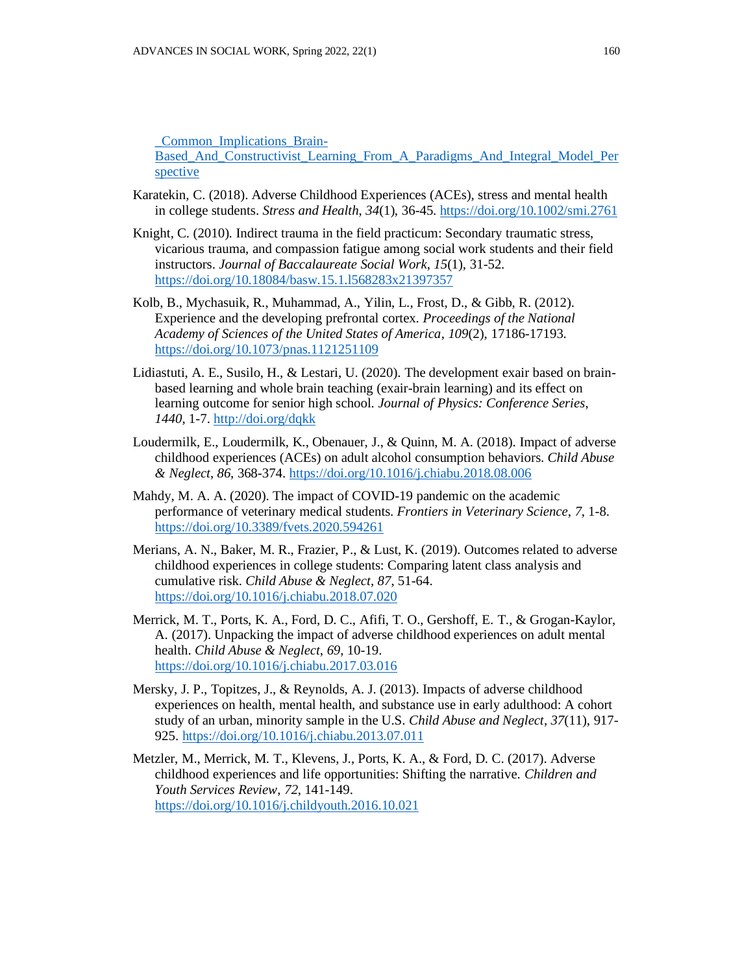[\\_Common\\_Implications\\_Brain-](https://www.researchgate.net/publication/26571388_Different_Approaches_-_Common_Implications_Brain-Based_And_Constructivist_Learning_From_A_Paradigms_And_Integral_Model_Perspective)

[Based\\_And\\_Constructivist\\_Learning\\_From\\_A\\_Paradigms\\_And\\_Integral\\_Model\\_Per](https://www.researchgate.net/publication/26571388_Different_Approaches_-_Common_Implications_Brain-Based_And_Constructivist_Learning_From_A_Paradigms_And_Integral_Model_Perspective) [spective](https://www.researchgate.net/publication/26571388_Different_Approaches_-_Common_Implications_Brain-Based_And_Constructivist_Learning_From_A_Paradigms_And_Integral_Model_Perspective)

- Karatekin, C. (2018). Adverse Childhood Experiences (ACEs), stress and mental health in college students. *Stress and Health*, *34*(1), 36-45.<https://doi.org/10.1002/smi.2761>
- Knight, C. (2010). Indirect trauma in the field practicum: Secondary traumatic stress, vicarious trauma, and compassion fatigue among social work students and their field instructors. *Journal of Baccalaureate Social Work*, *15*(1), 31-52. <https://doi.org/10.18084/basw.15.1.l568283x21397357>
- Kolb, B., Mychasuik, R., Muhammad, A., Yilin, L., Frost, D., & Gibb, R. (2012). Experience and the developing prefrontal cortex*. Proceedings of the National Academy of Sciences of the United States of America*, *109*(2), 17186-17193. <https://doi.org/10.1073/pnas.1121251109>
- Lidiastuti, A. E., Susilo, H., & Lestari, U. (2020). The development exair based on brainbased learning and whole brain teaching (exair-brain learning) and its effect on learning outcome for senior high school. *Journal of Physics: Conference Series*, *1440*, 1-7[. http://doi.org/dqkk](http://doi.org/dqkk)
- Loudermilk, E., Loudermilk, K., Obenauer, J., & Quinn, M. A. (2018). Impact of adverse childhood experiences (ACEs) on adult alcohol consumption behaviors. *Child Abuse & Neglect*, *86*, 368-374. <https://doi.org/10.1016/j.chiabu.2018.08.006>
- Mahdy, M. A. A. (2020). The impact of COVID-19 pandemic on the academic performance of veterinary medical students. *Frontiers in Veterinary Science*, *7*, 1-8. <https://doi.org/10.3389/fvets.2020.594261>
- Merians, A. N., Baker, M. R., Frazier, P., & Lust, K. (2019). Outcomes related to adverse childhood experiences in college students: Comparing latent class analysis and cumulative risk. *Child Abuse & Neglect*, *87*, 51-64. <https://doi.org/10.1016/j.chiabu.2018.07.020>
- Merrick, M. T., Ports, K. A., Ford, D. C., Afifi, T. O., Gershoff, E. T., & Grogan-Kaylor, A. (2017). Unpacking the impact of adverse childhood experiences on adult mental health. *Child Abuse & Neglect*, *69*, 10-19. <https://doi.org/10.1016/j.chiabu.2017.03.016>
- Mersky, J. P., Topitzes, J., & Reynolds, A. J. (2013). Impacts of adverse childhood experiences on health, mental health, and substance use in early adulthood: A cohort study of an urban, minority sample in the U.S. *Child Abuse and Neglect*, *37*(11), 917- 925.<https://doi.org/10.1016/j.chiabu.2013.07.011>
- Metzler, M., Merrick, M. T., Klevens, J., Ports, K. A., & Ford, D. C. (2017). Adverse childhood experiences and life opportunities: Shifting the narrative. *Children and Youth Services Review*, *72*, 141-149. <https://doi.org/10.1016/j.childyouth.2016.10.021>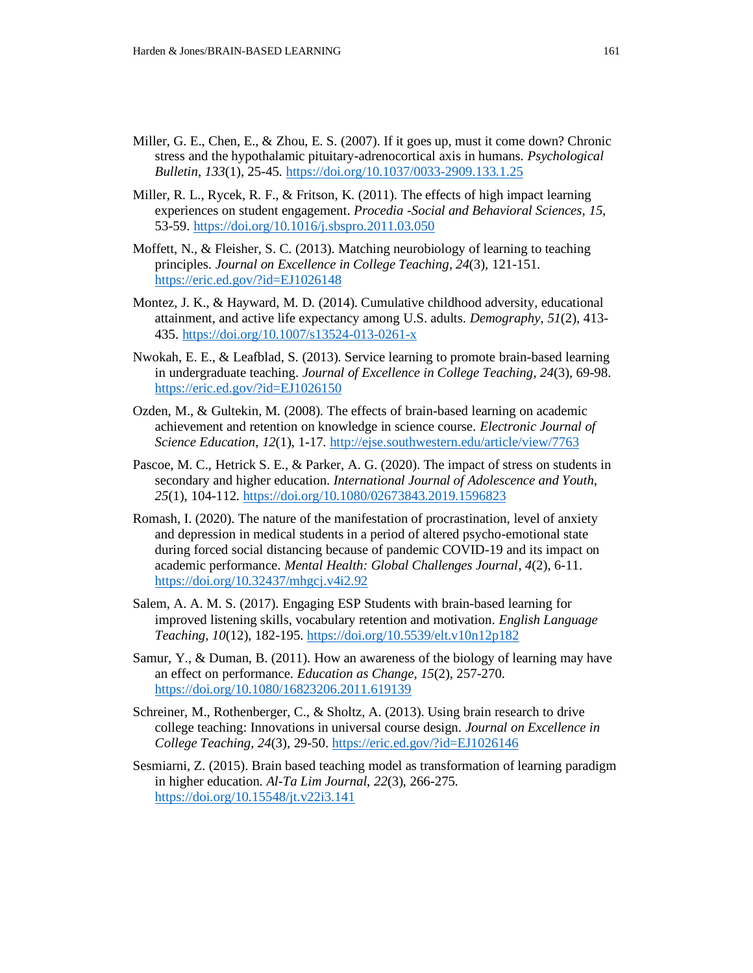- Miller, G. E., Chen, E., & Zhou, E. S. (2007). If it goes up, must it come down? Chronic stress and the hypothalamic pituitary-adrenocortical axis in humans. *Psychological Bulletin*, *133*(1), 25-45.<https://doi.org/10.1037/0033-2909.133.1.25>
- Miller, R. L., Rycek, R. F., & Fritson, K. (2011). The effects of high impact learning experiences on student engagement. *Procedia -Social and Behavioral Sciences*, *15*, 53-59.<https://doi.org/10.1016/j.sbspro.2011.03.050>
- Moffett, N., & Fleisher, S. C. (2013). Matching neurobiology of learning to teaching principles. *Journal on Excellence in College Teaching*, *24*(3)*,* 121-151. <https://eric.ed.gov/?id=EJ1026148>
- Montez, J. K., & Hayward, M. D. (2014). Cumulative childhood adversity, educational attainment, and active life expectancy among U.S. adults. *Demography*, *51*(2), 413- 435.<https://doi.org/10.1007/s13524-013-0261-x>
- Nwokah, E. E., & Leafblad, S. (2013). Service learning to promote brain-based learning in undergraduate teaching. *Journal of Excellence in College Teaching*, *24*(3)*,* 69-98. <https://eric.ed.gov/?id=EJ1026150>
- Ozden, M., & Gultekin, M. (2008). The effects of brain-based learning on academic achievement and retention on knowledge in science course. *Electronic Journal of Science Education*, *12*(1), 1-17.<http://ejse.southwestern.edu/article/view/7763>
- Pascoe, M. C., Hetrick S. E., & Parker, A. G. (2020). The impact of stress on students in secondary and higher education. *International Journal of Adolescence and Youth*, *25*(1), 104-112.<https://doi.org/10.1080/02673843.2019.1596823>
- Romash, I. (2020). The nature of the manifestation of procrastination, level of anxiety and depression in medical students in a period of altered psycho-emotional state during forced social distancing because of pandemic COVID-19 and its impact on academic performance. *Mental Health: Global Challenges Journal*, *4*(2), 6-11. <https://doi.org/10.32437/mhgcj.v4i2.92>
- Salem, A. A. M. S. (2017). Engaging ESP Students with brain-based learning for improved listening skills, vocabulary retention and motivation. *English Language Teaching*, *10*(12), 182-195.<https://doi.org/10.5539/elt.v10n12p182>
- Samur, Y., & Duman, B. (2011). How an awareness of the biology of learning may have an effect on performance. *Education as Change*, *15*(2), 257-270. <https://doi.org/10.1080/16823206.2011.619139>
- Schreiner, M., Rothenberger, C., & Sholtz, A. (2013). Using brain research to drive college teaching: Innovations in universal course design. *Journal on Excellence in College Teaching*, *24*(3)*,* 29-50.<https://eric.ed.gov/?id=EJ1026146>
- Sesmiarni, Z. (2015). Brain based teaching model as transformation of learning paradigm in higher education. *Al-Ta Lim Journal*, *22*(3), 266-275. <https://doi.org/10.15548/jt.v22i3.141>